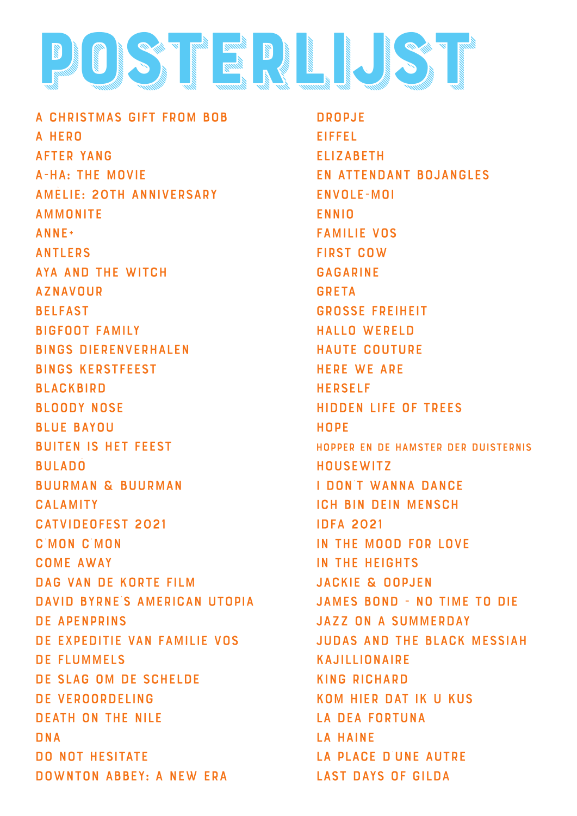

A Christmas gift from Bob A Hero After Yang A-ha: The Movie Amèlie: 20th anniversary **AMMONITE** anne+ Antlers Aya and the witch aznavour belfast bigfoot family Bings dierenverhalen bings kerstfeest **BLACKBIRD** bloody nose blue bayou buiten is het feest **BULADO** buurman & buurman calamity catvideofest 2021 c'mon c'mon come away dag van de korte film david byrne's american utopia de apenprins de expeditie van familie vos de flummels de slag om de schelde de veroordeling death on the nile DNA DO NOT HESITATE Downton Abbey: A New Era

Dropje Eiffel **ELIZABETH** En attendant Bojangles Envole-moi ENNIO Familie Vos First Cow Gagarine **GRETA** Grosse freiheit Hallo Wereld haute couture here we are herself hidden life of trees **HOPE** hopper en de hamster der duisternis **HOUSEWITZ** i don't wanna dance ich bin dein mensch idfa 2021 in the mood for love in the heights jackie & oopjen james bond - no time to die jazz on a summerday judas and the black messiah kajillionaire king richard kom hier dat ik u kus la dea fortuna la haine la place d'une autre last days of gilda